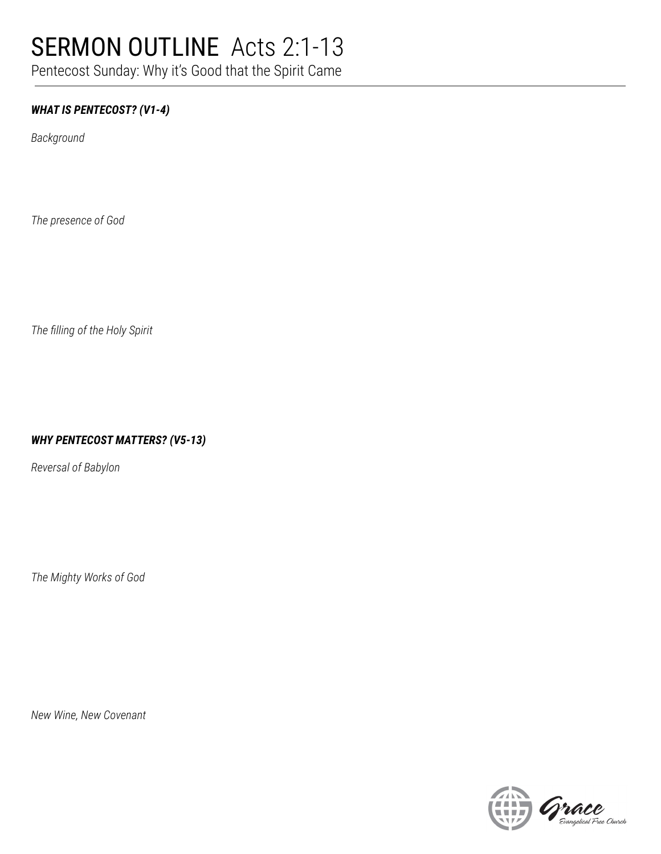## SERMON OUTLINE Acts 2:1-13

Pentecost Sunday: Why it's Good that the Spirit Came

#### *WHAT IS PENTECOST? (V1-4)*

*Background*

*The presence of God*

*The filling of the Holy Spirit*

#### *WHY PENTECOST MATTERS? (V5-13)*

*Reversal of Babylon*

*The Mighty Works of God*

*New Wine, New Covenant*